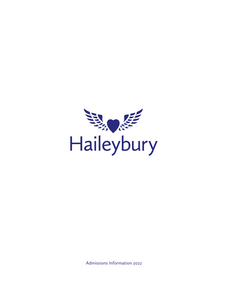

Admissions Information 2022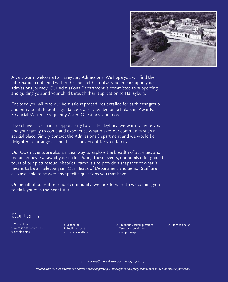

A very warm welcome to Haileybury Admissions. We hope you will find the information contained within this booklet helpful as you embark upon your admissions journey. Our Admissions Department is committed to supporting and guiding you and your child through their application to Haileybury.

Enclosed you will find our Admissions procedures detailed for each Year group and entry point. Essential guidance is also provided on Scholarship Awards, Financial Matters, Frequently Asked Questions, and more.

If you haven't yet had an opportunity to visit Haileybury, we warmly invite you and your family to come and experience what makes our community such a special place. Simply contact the Admissions Department and we would be delighted to arrange a time that is convenient for your family.

Our Open Events are also an ideal way to explore the breadth of activities and opportunities that await your child. During these events, our pupils offer guided tours of our picturesque, historical campus and provide a snapshot of what it means to be a Haileyburyian. Our Heads of Department and Senior Staff are also available to answer any specific questions you may have.

On behalf of our entire school community, we look forward to welcoming you to Haileybury in the near future.

# Contents

- 1 Curriculum
- 2 Admissions procedures
- 5 Scholarships

8 School life 8 Pupil transport 9 Financial matters

10 Frequently asked questions 11 Terms and conditions

15 Campus map

16 How to find us

[admissions@haileybury.com 0](mailto:admissions@haileybury.com)1992 706 353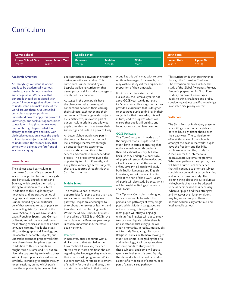# Curriculum

| <b>Lower School</b>                                                    | <b>Middle School</b>     |                           |                          | <b>Sixth Form</b>             |                               |  |
|------------------------------------------------------------------------|--------------------------|---------------------------|--------------------------|-------------------------------|-------------------------------|--|
| <b>Lower School One</b><br><b>Lower School Two</b><br>Year 8<br>Year 7 | <b>Removes</b><br>Year 9 | <b>Middles</b><br>Year 10 | <b>Fifths</b><br>Year 11 | <b>Lower Sixth</b><br>Year 12 | <b>Upper Sixth</b><br>Year 13 |  |

#### **Academic Overview**

At Haileybury, we want all of our pupils to be academically curious, intellectually ambitious, creative and imaginative. We believe that our pupils should be equipped with powerful knowledge that allows them to understand and make sense of the world around them. Our unrivalled curriculum supports pupils to understand how to apply this powerful knowledge, and seek out opportunities to use it with imagination; we want our pupils to go beyond what has already been thought and said. Our distinctive education allows the pupils to identify as subject specialists, but to understand the responsibility that comes with being at the forefront of academic enquiry.

#### **Lower School**

The subject based curriculum in the Lower School offers a range of academic opportunities. All of our girls and boys study English, Maths and Science, which provide them with a strong foundation in core subjects. In addition to this, pupils study an innovative and progressive series of language and linguistics courses, which is underpinned by a foundational belief that we need to teach pupils to become linguists. By the end of the Lower School, they will have studied Latin, French or Spanish and German or Greek, and will be in a position to make strong choices about their future language learning. Pupils also study History, Geography and Theology and Philosophy as separate subjects, but undertake extended project work that links these three disciplines together. In addition to this, our pupils are taught Music, Drama and Art, but are given the opportunity to develop these skills in longer, practical-based sessions. Similarly, Technology is taught through longer sessions, during which pupils have the opportunity to develop links

and connections between engineering, design, robotics and coding. This curriculum is underpinned by our bespoke wellbeing curriculum that develops social skills, and encourages a deeply holistic education.

At stages in the year, pupils have the chance to make meaningful connections between their learning, their subjects, each other and their community. These large scale projects are a distinctive, innovative part of our curriculum offering and allow our pupils to understand how to use their knowledge and skills in a powerful way.

All Lower School pupils take part in the co-curricular aspects of school life, challenge themselves through an outdoor learning experience, demonstrate a commitment to service and complete an independent project. This project gives pupils the opportunity to think differently, and apply their knowledge across subjects; they are supported through this by a Sixth Form mentor.

#### **Middle School**

The Middle School presents opportunities for pupils to start to make some choices over their curriculum pathways. Pupils are encouraged to think about themselves as learners and to understand their learning profile. Whilst the Middle School culminates in the taking of IGCSEs or GCSEs, the curriculum in the Removes year group is equally important and, therefore, equally strong.

#### Removes

In Removes, pupils continue with a similar core to that studied in the Lower School. However, they can start to make more ambitious choices regarding the languages they study and their creative arts programme. Whilst our core curriculum retains an element of stability for the girls and boys, they can start to specialise in their choices.

A pupil at this point may wish to take on three languages, for example, or may wish to study Art for a significant proportion of their timetable.

It is important to state that, at Haileybury, the Removes year is not a pre-GCSE year; we do not start GCSE courses at this stage. Rather, we provide a curriculum that is designed to encourage pupils to find joy in their subjects for their own sake; this will, in turn, lead to progress which will ensure that pupils will build strong foundations for their later learning.

# GCSE Pathways

The Core Curriculum is made up of the subjects that all pupils need to study, both in terms of ensuring that options remain open throughout their educational journey, but also because they underpin wider study. All pupils will study Mathematics, and all will be examined at the end of the Fifths. Similarly, all pupils will study both English Language and English Literature, and will be examined in both at the end of their GCSE years. All pupils will also study Science, which will be taught as Biology, Chemistry and Physics.

The Optional Curriculum is designed to be customisable to match the personalised pathways of every single pupil. Whilst Modern Languages are not compulsory, it is expected that most pupils will study a language, whilst gifted linguists will opt to study two or more. Equally, whilst there is no expectation that every pupil will study a humanity, in reality, most pupils opt to study Geography, History or Religious Studies, with many looking to study two or more. Regarding the arts and technology, it will be appropriate for some pupils to study one of these subjects, and some will opt to specialise further in this area. Equally, the classical subjects could be studied as part of a wide suite of options, or as part of a specialised pathway.

This curriculum is then strengthened through the Extension Curriculum. The extension modules include the study of the Global Awareness Project. Fantastic preparation for Sixth Form studies, this project encourages pupils to think, challenge and probe, considering subject specific knowledge in an inter-disciplinary context.

# **Sixth Form**

The Sixth Form at Haileybury presents an exciting opportunity for girls and boys to have significant choice over their pathways. The curriculum on offer at this stage of the school is amongst the best in the world: pupils have the freedom and flexibility to choose whether they study for A levels or for the International Baccalaureate Diploma Programme. Whichever pathway they opt for, they will have a curriculum experience that will continue to prioritise subject specialism, connections across learning and wider, extension study. The exciting thing about the curriculum at Haileybury is that it can be adapted to be as personalised as is necessary. Wherever pupils find their strengths and whatever their later ambitions may be, we can support them to become academically ambitious and intellectually curious.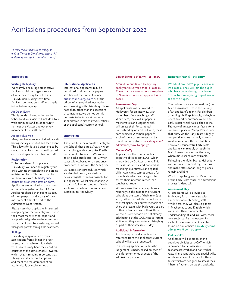# Admissions procedures from September 2022

*To review our Admissions Policy as well as Terms & Conditions, please visit [haileybury.com/policies-publications/](https://www.haileybury.com/policies-publications/)*

#### **Introduction**

### **Visiting Haileybury**

We warmly encourage prospective families to visit us to get a sense of what day to day life is like as a Haileyburian. During term time, families can meet our staff and pupils in the following ways:

### An Open Event

This is an ideal introduction to the School and your visit will include a tour with our pupils and an opportunity to meet the Master and other key members of the staff team.

#### An individual visit

Many families arrange an individual visit having initially attended an Open Event. This allows for detailed questions to be raised, particular issues to be discussed or to meet specific members of staff.

#### **Registration**

To be considered for a place at Haileybury, you need to register your child with us by completing the online registration form. This form can be found on our website haileybury. [com/admissions/registration-form/](https://www.haileybury.com/admissions/registration-form/)  Applicants are required to pay a nonrefundable registration fee of £100. Applicants should then submit a copy of their passport and a copy of their most recent school report to the Admissions Department.

Please note that applicants interested in applying for the 16+ entry must send their most recent school report and any predicted grades to the Admissions Department prior to registering; we will then guide parents through the next steps.

# **Siblings**

Haileybury is sympathetic towards applications from siblings in order to ensure that, where this is their wish, parents may have their children educated at the same school. However, within this, it remains important that siblings are able to both cope with and meet the requirements of an academically selective school.

#### **International Applicants**

International applicants may be permitted to sit entrance papers at offices of the British Council [britishcouncil.org/exam](https://www.britishcouncil.org/exam) or at the offices of a recognised international agent working with Haileybury. Please note that, other than in exceptional circumstances, we do not permit our tests to be taken at home or administered in either lawyers' offices or the applicant's current school.

#### **Entry Points**

There are four main points of entry to the School; these are at Years 7, 9, 10 and 12 along with a bespoke 'Pre-IB' entry point into Year 11. We are also able to take pupils into Year 8 when space allows, based on an entrance procedure in line with the Year 7 one. Our admissions procedures, which are detailed below, are designed to be as straightforward as possible for all applicants, whilst also enabling us to gain a full understanding of each applicant's academic potential, and suitability to Haileybury.

#### **Lower School 1 (Year 7) – 11+ entry**

Around 60 pupils join Haileybury each year in Lower School 1 (Year 7). The entrance examinations take place in November when an applicant is in Year 6.

### **Assessment Day**

All applicants will be invited to Haileybury for an interview with a member of our teaching staff. While here, they will sit papers in mathematics and English which will assess their fundamental understanding of, and skill with, these core subjects. A sample paper for each of these assessments can be found on our website haileybury.com/ [admissions/how-to-apply/](https://www.haileybury.com/admissions/how-to-apply/)

# **Online CAT4**

Applicants will also sit an online cognitive abilities test (CAT) which is provided by GL Assessment. This test assesses verbal and non-verbal reasoning, quantitative and spatial skills. Applicants cannot prepare for these tests which are designed to assess their inherent (rather than taught) aptitude.

We are aware that many applicants routinely sit this test at their current schools at the start of their Year 6; as such, rather than ask those pupils to sit the test again, their current schools can share the results with Haileybury as part of their reference. We will ask those whose current schools do not already ask them to sit the CAT4 test to instead sit it when they are onsite at Haileybury as part of their assessment day.

#### **Additional Information**

A school report and a confidential reference from the applicant's current school will also be requested. In assessing applications a holistic judgement is made, based on each of the aforementioned aspects of the admissions process.

#### **Removes (Year 9) – 13+ entry**

We admit around 70 pupils each year into Year 9. They will join the pupils who have come through our Lower School to form a year group of around 120 to 130 pupils.

The main entrance examinations (the Main Exams) are held in the January of an applicant's Year 7. For children attending UK Prep Schools, Haileybury offers an earlier entrance route (the Early Tests), which takes place in the February of an applicant's Year 6 for a confirmed place in Year 9. Please note that entry via the Early Tests is highly competitive as we can only make a small number of offers at that time; however, unsuccessful Early Tests applicants can reapply through the Main Exams route 11 months later, where more spaces are available.

Following the Main Exams, Haileybury will continue to accept registrations and make offers for as long as places remain available.

Whether applying via the Main Exams or the Early Tests route, the admissions process is identical.

#### **Assessment Day**

All applicants will be invited to Haileybury for an interview with a member of our teaching staff. While here, they will also sit papers in Mathematics and English which will assess their fundamental understanding of, and skill with, these core subjects. A sample paper for each of these assessments can be found on our website haileybury.com/ [admissions/how-to-apply/](https://www.haileybury.com/admissions/how-to-apply/)

### **Online CAT4**

Applicants will also sit an online cognitive abilities test (CAT) which is provided by GL Assessment. This test assesses verbal and non-verbal reasoning, quantitative and spatial skills. Applicants cannot prepare for these tests which are designed to assess their inherent (rather than taught) aptitude.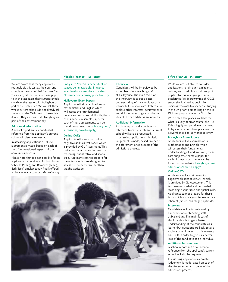# **Middles (Year 10) – 14+ entry**

We are aware that many applicants routinely sit this test at their current schools at the start of their Year 6 or Year 7; as such, rather than ask those pupils to sit the test again, their current schools can share the results with Haileybury as part of their reference. We will ask those whose current schools do not already ask them to sit the CAT4 test to instead sit it when they are onsite at Haileybury as part of their assessment day.

# **Additional Information**

A school report and a confidential reference from the applicant's current school will also be requested.

In assessing applications a holistic judgement is made, based on each of the aforementioned aspects of the admissions process.

Please note that it is not possible for an applicant to be considered for both Lower School 1 (Year 7) and Removes (Year 9, Early Tests) simultaneously. Pupils offered a place in Year 7 cannot defer to Year 9.

# Entry into Year 10 is dependent on spaces being available. Entrance examinations take place in either November or February prior to entry.

#### **Haileybury Exam Papers**

Applicants will sit examinations in mathematics and English which will assess their fundamental understanding of, and skill with, these core subjects. A sample paper for each of these assessments can be found on our website haileybury.com/ [admissions/how-to-apply/](https://www.haileybury.com/admissions/how-to-apply/)

#### **Online CAT4**

Applicants will also sit an online cognitive abilities test (CAT) which is provided by GL Assessment. This test assesses verbal and non-verbal reasoning, quantitative and spatial skills. Applicants cannot prepare for these tests which are designed to assess their inherent (rather than taught) aptitude.

#### **Interview**

Candidates will be interviewed by a member of our teaching staff at Haileybury. The main focus of this interview is to get a better understanding of the candidate as a learner but questions are likely to also explore other interests, achievements and skills in order to give us a better idea of the candidate as an individual.

# **Additional Information**

A school report and a confidential reference from the applicant's current school will also be requested. In assessing applications a holistic judgement is made, based on each of the aforementioned aspects of the admissions process.



# **Fifths (Year 11) – 15+ entry**

While we are not able to consider applications to join our main Year 11 cohort, we do admit a small group of pupils into this year group to sit an accelerated Pre-IB programme of IGCSE study; this is aimed at pupils from overseas who wish to experience studying in the UK prior to embarking on the IB Diploma programme in the Sixth Form. With only a few places available for what is a very popular course, the Pre-IB is a highly competitive entry point. Entry examinations take place in either November or February prior to entry.

# **Haileybury Exam Papers**

Applicants will sit examinations in Mathematics and English which will assess their fundamental understanding of, and skill with, these core subjects. A sample paper for each of these assessments can be found on our website haileybury.com/ [admissions/how-to-apply/](https://www.haileybury.com/admissions/how-to-apply/)

### **Online CAT4**

Applicants will also sit an online cognitive abilities test (CAT) which is provided by GL Assessment. This test assesses verbal and non-verbal reasoning, quantitative and spatial skills. Applicants cannot prepare for these tests which are designed to assess their inherent (rather than taught) aptitude.

#### **Interview**

Candidates will be interviewed by a member of our teaching staff at Haileybury. The main focus of this interview is to get a better understanding of the candidate as a learner but questions are likely to also explore other interests, achievements and skills in order to give us a better idea of the candidate as an individual.

# **Additional Information**

A school report and a confidential reference from the applicant's current school will also be requested.

In assessing applications a holistic judgement is made, based on each of the aforementioned aspects of the admissions process.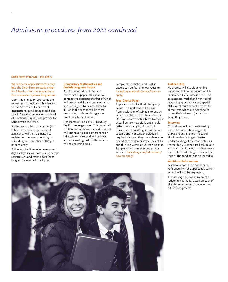# *Admissions procedures from 2022 continued*

### **Sixth Form (Year 12) – 16+ entry**

4

We welcome applications for entry into the Sixth Form to study either for A levels or for the International Baccalaureate Diploma Programme.

Upon initial enquiry, applicants are requested to provide a school report to the Admissions Department. International candidates should also sit a UKiset test (to assess their level of functional English) and provide the School with the result.

Subject to a satisfactory report (and UKiset score where appropriate) applicants will then be invited to register for the assessment day at Haileybury in November of the year prior to entry.

Following the November assessment day, Haileybury will continue to accept registrations and make offers for as long as places remain available.

### **Compulsory Mathematics and English Language Papers**

Applicants will sit a Haileybury mathematics paper. This paper will contain two sections; the first of which will test core skills and understanding and is designed to be accessible to all, while the second will be more demanding and contain a greater problem solving element.

Applicants will also sit a Haileybury English language paper. This paper will contain two sections; the first of which will test reading and comprehension skills while the second will be based around a writing task. Both sections will be accessible to all.

Sample mathematics and English papers can be found on our website. [haileybury.com/admissions/how-to](https://www.haileybury.com/admissions/how-to-apply/)apply/

# **Free-Choice Paper**

Applicants will sit a third Haileybury paper. The applicant will choose from a selection of subjects to decide which one they wish to be assessed in. Decisions over which subject to choose should be taken carefully and should reflect the strengths of the pupil. These papers are designed so that no specific prior content knowledge is required - instead they are a chance for a candidate to demonstrate their skills and thinking within a subject discipline. Sample papers can be found on our website. [haileybury.com/admissions/](https://www.haileybury.com/admissions/how-to-apply/) how-to-apply/

# **Online CAT4**

Applicants will also sit an online cognitive abilities test (CAT) which is provided by GL Assessment. This test assesses verbal and non-verbal reasoning, quantitative and spatial skills. Applicants cannot prepare for these tests which are designed to assess their inherent (rather than taught) aptitude.

# **Interview**

Candidates will be interviewed by a member of our teaching staff at Haileybury. The main focus of this interview is to get a better understanding of the candidate as a learner but questions are likely to also explore other interests, achievements and skills in order to give us a better idea of the candidate as an individual.

#### **Additional Information**

A school report and a confidential reference from the applicant's current school will also be requested.

In assessing applications a holistic judgement is made, based on each of the aforementioned aspects of the admissions process.

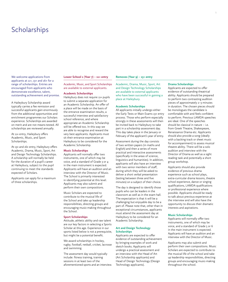# **Scholarships**

We welcome applications from applicants at 11+, 13+ and 16+ for a range of scholarships. Entries are encouraged from applicants who demonstrate excellence, talent, outstanding achievement and promise.

A Haileybury Scholarship award typically carries a fee remission and successful applicants gain enormously from the additional opportunities and enrichment programmes our Scholars experience. Scholarships are awarded on merit and are not means-tested. All scholarships are reviewed annually.

At 11+ entry, Haileybury offers Academic, Music, and Sport Scholarships.

At 13+ and 16+ entry, Haileybury offers Academic, Drama, Music, Sport, Art and Design Technology Scholarships. A scholarship will normally be held for the duration of a pupil's career at Haileybury, subject to the pupil continuing to meet the standards expected of Scholars.

Applicants can apply for a maximum of three scholarships.

#### **Lower School 1 (Year 7) – 11+ entry**

Academic, Music, and Sport Scholarships are available to external applicants.

# **Academic Scholarships**

Haileybury does not require 11+ pupils to submit a separate application for an Academic Scholarship. An offer of a place will be made on the basis of the entrance examination results, a successful interview and satisfactory school reference, and where appropriate an Academic Scholarship will be offered too. In this way we are able to recognise and reward the very best applicants. Applicants must sit their entrance examination at Haileybury to be considered for the Academic Scholarship.

#### **Music Scholarships**

Applicants will normally offer two instruments, one of which may be voice, and a standard of Grade 3 or 4 in the main instrument is expected. Applicants will have an audition and an interview with the Director of Music. The School is primarily interested in identifying potential at this level. Applicants may also submit and perform their own compositions.

Music Scholars are expected to contribute to the musical life of the School and take up leadership responsibilities, directing groups and encouraging music-making throughout the School.

#### **Sport Scholarships**

Attitude, athletic ability and raw talent are our key factors in selecting a Sports Scholar at this age. Experience in our sports listed below is not a prerequisite, but might be a potential benefit.

We award scholarships in hockey, rugby, football, netball, cricket, lacrosse and swimming.

The assessment day would typically include: fitness training, training sessions in at least two of the aforementioned sports and an interview.

# **Removes (Year 9) – 13+ entry**

Academic, Drama, Music, Sport, Art and Design Technology Scholarships are available to external applicants who have been successful in gaining a place at Haileybury.

#### **Academic Scholarships**

All applicants initially undergo either the Early Tests or Main Exams 13+ entry process. Those who perform especially strongly in these assessments will then be invited back to Haileybury to take part in a scholarship assessment day. This day takes place in the January or February of the applicant's year of entry.

Assessment during the day consists of two written papers (in maths and English) and then a series of more practical and interactive assessments (specifically in the areas of science, linguistics and humanities). In addition, applicants will also have an interview with two senior members of staff, during which they will be asked to deliver a short verbal presentation (lasting between three and five minutes) on a subject of their choice.

The day is designed to identify those pupils who can be leaders in the classroom as well as in the exam hall. The expectation is that it will be a challenging but enjoyable day to be a part of. Please note that, other than in exceptional circumstances, applicants must attend the assessment day at Haileybury to be considered for an Academic Scholarship.

#### **Art and Design Technology Scholarships**

Applicants are expected to offer evidence of outstanding achievement by bringing examples of work and sketch books. Applicants will undergo a practical assessment and an interview with the Head of Art (Art Scholarship applicants) and Head of Design Technology (Design Technology applicants).

# **Drama Scholarships**

Applicants are expected to offer evidence of outstanding theatrical ability. Applicants should be prepared to perform two contrasting audition pieces of approximately 2–3 minutes in duration. The chosen pieces should be monologues the candidate is comfortable with and feels confident to perform. Previous LAMDA speeches are ideal. One of the speeches should be classical in nature – i.e. from Greek Theatre, Shakespeare, Renaissance Drama etc. Applicants should also provide a song (ideally with a backing track or sheet music for accompaniment) to assess musical theatre ability. There will be a solo audition and interview with the Director of Drama as well as a sight reading task and potentially a short group workshop.

Applicants should also provide evidence of previous drama experience such as school plays, extra-curricular drama lessons, theatre school experience, dance or singing qualifications, LAMDA qualifications or professional experience where possible. Applicants should be ready to talk about previous experience at the interview and will also have the opportunity to discuss their dramatic interests and aspirations.

#### **Music Scholarships**

Applicants will normally offer two instruments, one of which may be voice, and a standard of Grade 5 or 6 in the main instrument is expected. Applicants will have an audition and an interview with the Director of Music.

Applicants may also submit and perform their own compositions. Music Scholars are expected to contribute to the musical life of the school and take up leadership responsibilities, directing groups and encouraging music-making throughout the school.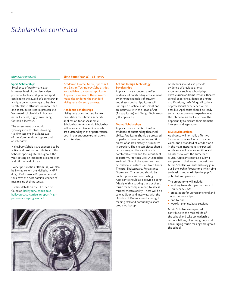# *Scholarships continued*

#### *(Removes continued)*

#### **Sixth Form (Year 12) – 16+ entry**

# **Sport Scholarships**

Excellence of performance, an immense level of promise and/or potential for leadership in one sport can lead to the award of a scholarship. It might be an advantage to be able to offer these attributes in more than one sport, but it is not a prerequisite. We award scholarships in hockey, netball, cricket, rugby, swimming, football & lacrosse.

The assessment day would typically include: fitness training, training sessions in at least two of the aforementioned sports and an interview.

Haileybury Scholars are expected to be active and positive contributors to the School's sporting life throughout the year, setting an impeccable example on and off the field of play.

Every Sports Scholar (from 13+) will also be invited to join the Haileybury HPP (High Performance Programme) and thus have the best possible chance of maximising their potential.

Further details on the HPP can be found at: haileybury. com/about[haileybury/co-curricular/ sport/high](https://www.haileybury.com/about-haileybury/co-curricular/sport/high-performance-programme/#:~:text=The%20HPP%20enables%20our%20most,to%20achieve%20their%20maximum%20potential.)performance-programme/

Academic, Drama, Music, Sport, Art and Design Technology Scholarships are available to external applicants. Applicants for any of these awards must also undergo the standard Haileybury 16+ entry process.

#### **Academic Scholarships**

Haileybury does not require 16+ candidates to submit a separate application for an Academic Scholarship. An Academic Scholarship will be awarded to candidates who are outstanding in their performance, both in our entrance examinations and interview.

### **Art and Design Technology Scholarships**

Applicants are expected to offer evidence of outstanding achievement by bringing examples of artwork and sketch books. Applicants will undergo a practical assessment and an interview with the Head of Art (Art applicants) and Design Technology (DT applicants).

#### **Drama Scholarships**

Applicants are expected to offer evidence of outstanding theatrical ability. Applicants should be prepared to perform two contrasting audition pieces of approximately 2–3 minutes in duration. The chosen pieces should be monologues the candidate is comfortable with and feels confident to perform. Previous LAMDA speeches are ideal. One of the speeches must be classical in nature – i.e. from Greek Theatre, Shakespeare, Renaissance Drama etc. The second should be contemporary and contrasting. Applicants should also provide a song (ideally with a backing track or sheet music for accompaniment) to assess musical theatre ability. There will be a solo audition and interview with the Director of Drama as well as a sight reading task and potentially a short group workshop.

Applicants should also provide evidence of previous drama experience such as school plays, extra-curricular drama lessons, theatre school experience, dance or singing qualifications, LAMDA qualifications or professional experience where possible. Applicants should be ready to talk about previous experience at the interview and will also have the opportunity to discuss their dramatic interests and aspirations.

#### **Music Scholarships**

Applicants will normally offer two instruments, one of which may be voice, and a standard of Grade 7 or 8 in the main instrument is expected. Applicants will have an audition and an interview with the Director of Music. Applicants may also submit and perform their own compositions. Music Scholars will automatically join our Scholarship Programme which aims to develop and maximise the pupil's potential and passions.

- The programme will include:
- working towards diploma standard Trinity or ABRSM
- preparation for university choral and organ scholarships
- one-to-one
- weekly listening/aural sessions

Music Scholars are expected to contribute to the musical life of the school and take up leadership responsibilities; directing groups and encouraging music making throughout the school.

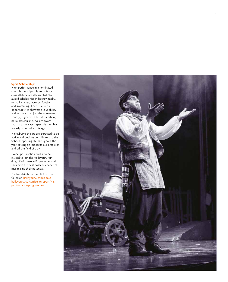# **Sport Scholarships**

High performance in a nominated sport, leadership skills and a firstclass attitude are all essential. We award scholarships in hockey, rugby, netball, cricket, lacrosse, football and swimming. There is also the opportunity to showcase your ability and in more than just the nominated sport(s), if you wish, but it is certainly not a prerequisite. We are aware that, in some cases, specialisation has already occurred at this age.

Haileybury scholars are expected to be active and positive contributors to the School's sporting life throughout the year, setting an impeccable example on and off the field of play

Every Sports Scholar will also be invited to join the Haileybury HPP (High Performance Programme) and thus have the best possible chance of maximising their potential.

Further details on the HPP can be found at: haileybury. com/about[haileybury/co-curricular/ sport/high](https://www.haileybury.com/about-haileybury/co-curricular/sport/high-performance-programme/#:~:text=The%20HPP%20enables%20our%20most,to%20achieve%20their%20maximum%20potential.)performance-programme/

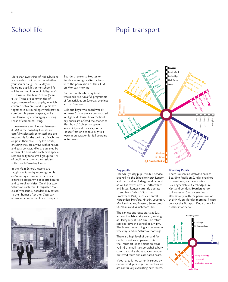More than two thirds of Haileyburians are boarders, but no matter whether your son or daughter is a day or boarding pupil, his or her school life will be centred in one of Haileybury's 12 Houses in the Main School (Years 9–13). These are communities of approximately 60–70 pupils, in which children between 13 and 18 years live together in surroundings which provide comfortable personal space, while simultaneously encouraging a strong sense of communal living.

Housemasters and Housemistresses (HMs) in the Boarding Houses are carefully selected senior staff and are responsible for the welfare of each boy or girl in their care. They live onsite, ensuring they are always within natural and easy contact. HMs are assisted by a team of tutors who each have special responsibility for a small group (10–12) of pupils; one tutor is also resident within each Boarding House.

In the Main School, lessons are taught on Saturday mornings while on Saturday afternoons there is an extensive programme of sports fixtures and cultural activities. On all but two Saturdays each term (designated 'nonexeat' weekends), boarders may return to their homes after their Saturday afternoon commitments are complete.

Boarders return to Houses on Sunday evening or alternatively, with the permission of their HM on Monday morning.

For our pupils who stay in at weekends, we run a full programme of fun activities on Saturday evenings and on Sundays.

Girls and boys who board weekly in Lower School are accommodated in Highfield House. Lower School day pupils are offered the chance to 'flexi board' (subject to space availability) and may stay in the House from one to four nights a week in preparation for full boarding in Removes.

# School life **Pupil transport**



# **Day pupils**

Haileybury's day pupil minibus service *(above)* links the School to North London and the London Underground network, as well as towns across Hertfordshire and Essex. Routes currently operate to and from Bishop's Stortford, Brookmans Park, Finchley Central, Harpenden, Hertford, Hitchin, Loughton, Monken Hadley, Royston, Snaresbrook, St. Albans and Winchmore Hill.

The earliest bus route starts at 6.54 am and the latest at 7.20 am, arriving at Haileybury at 8.00 am. The return services leave the School at 6.35 pm. The buses run morning and evening on weekdays and on Saturday mornings.

There is a high level of demand for our bus services so please contact the Transport Department on 01992 706378 or email transport@haileybury. com to enquire about spaces on your preferred route and associated costs.

If your area is not currently served by our network please get in touch as we are continually evaluating new routes.

# **Boarding Pupils**

There is a service *(below)* to collect Boarding Pupils on Sunday evenings in term time, via these routes: Buckinghamshire, Cambridgeshire, Kent and London. Boarders return to Houses on Sunday evening or alternatively, with the permission of their HM, on Monday morning. Please contact the Transport Department for further information.



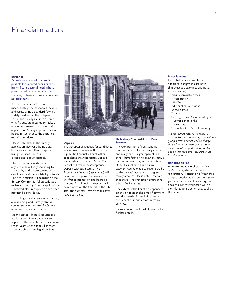# Financial matters

### **Bursaries**

Bursaries are offered to make it possible for talented pupils or those in significant pastoral need, whose parents could not otherwise afford the fees, to benefit from an education at Haileybury.

Financial assistance is based on means-testing the household income and assets using a standard formula widely used within the independent sector and usually includes a home visit. Parents are required to make a written statement to support their application. Bursary applications should be submitted prior to the entrance examination dates.

Please note that, as the bursary application involves a home visit, bursaries are not offered to pupils living overseas, unless in exceptional circumstances.

The number of awards made in any one year will vary according to the quality and circumstances of candidates and the availability of funds. The final decision will be made by the Bursary Committee. All bursaries are reviewed annually. Bursary applications submitted after receipt of a place offer may not be considered.

Depending on individual circumstances, a Scholarship and Bursary can run concurrently in the case of a Scholar requiring financial assistance.

Means-tested sibling discounts are available and if awarded they are applied to the lower fee and only during school years when a family has more than one child attending Haileybury.



### **Deposit**

The Acceptance Deposit for candidates whose parents reside within the UK is published annually. For all other candidates the Acceptance Deposit is equivalent to one term's fee. The School will retain the Acceptance Deposit without interest. The Acceptance Deposit (less £1,000) will be refunded against the invoice for the first term's tuition and boarding charges. For all pupils the £1,000 will be refunded on the final bill in the July after the Summer Term after all extras have been paid.

#### **Haileybury Composition of Fees Scheme**

The Composition of Fees Scheme has run successfully for over 30 years and many parents, grandparents and others have found it to be an attractive method of financing payment of fees. Under this scheme a lump sum payment can be made to cover a credit to the parent's account of an agreed termly amount. Please note, however, that there is no protection against the school fee increases.

The extent of the benefit is dependent on the gilt rates at the time of payment and the length of time before entry to the School. Currently those rates are very low.

Please contact the Head of Finance for further details.

#### **Miscellaneous**

Listed below are examples of additional charges (please note that these are examples and not an exhaustive list):

Public examination fees Private tuition LAMDA Individual music lessons Dance classes **Transport** Overnight stays (flexi-boarding in Lower School only) House subs Course books in Sixth Form only

*The Governors reserve the right to increase fees, extras and deposits without giving a term's notice, and to charge simple interest (currently at a rate of 2% per month or part month) on fees unpaid less than one week before the first day of term.*

# **Registration Fee**

A non-refundable registration fee of £100 is payable at the time of registration. Registration of your child as a prospective pupil does not secure your child a place at Haileybury, but does ensure that your child will be considered for selection as a pupil at the School.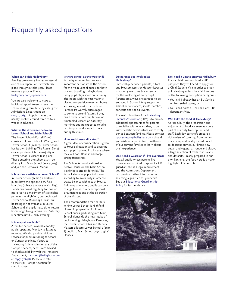# Frequently asked questions

#### **When can I visit Haileybury?**

Families are warmly invited to attend one of our Open Events which take place throughout the year. Please reserve a place online at [haileybury.com/openevents](https://www.haileybury.com/events/category/open-days/)

You are also welcome to make an individual appointment to see the school during term time by calling the Admissions Department on 01992 706353. Appointments are usually booked around three to four weeks in advance.

# **What is the difference between Lower School and Main School?**

The Lower School (Russell Dore) consists of Lower School 1 (Year 7) and Lower School 2 (Year 8). Lower School has its own building (The Russell Dore) on campus in which the majority of Lower School 1 lessons take place. Those entering the school at 13+ go directly into Main School (Years 9–13) and join the Removes (Year 9).

### **Is boarding available in Lower School?**

In Lower School (Years 7 and 8) our pupils have the option to try flexiboarding (subject to space availability). Pupils can board regularly for one or more (up to a maximum of six) nights per week in Highfield, our dedicated Lower School Boarding House. Full boarding is not available in Lower School and all pupils must either return home or go to a guardian from Saturday lunchtime until Sunday evening.

#### **Is transport available?**

A minibus service is available for day pupils, operating Monday to Saturday morning. We also provide minibus services for pupils returning to school on Sunday evenings. If entry to Haileybury is dependent on use of the transport service, parents are advised to check availability with the Transport Department, [transport@haileybury.com](mailto:transport@haileybury.com)  or 01992 706378. Please also refer to the Pupil Transport section for specific routes.

# **Is there school at the weekend?**

Saturday morning lessons are an important part of life at the School for the Main School pupils, for both day and boarding Haileyburians. Every pupil plays sport on Saturday afternoon, with the vast majority playing competitive matches, home and away, against other schools. Parents are warmly encouraged to come to attend fixtures if they can. Lower School pupils have no timetabled lessons on Saturday mornings but are expected to take part in sport and sports fixtures during this time.

#### **How are Houses allocated?**

A great deal of consideration is given to House allocation and to ensuring each pupil is placed in a House where they will both flourish and forge strong friendships.

The School is co-educational with twelve Houses in the Main School (six for boys and six for girls). The School allocates pupils to Houses according to availability in order to create balance within each House. Following admission, pupils can only change House in very exceptional circumstances and at the discretion of the Master.

The accommodation for boarders joining Lower School is Highfield House. In preparation for Lower School pupils graduating into Main School alongside the new intake of pupils joining Haileybury's Removes, the Lower School HMs and Deputy Masters allocate Lower School 2 (Year 8) pupils to Main School boys' orgirls' Houses.

# **Do parents get involved at Haileybury?**

Partnership between parents, tutors and Housemasters or Housemistresses is not only welcome but essential for the wellbeing of every pupil. Parents are always encouraged to be engaged in School life by supporting school performances, sports matches, concerts and special events.

The main objective of the Haileybury Parents' Association (HPA) is to provide additional opportunities for parents to socialise with one another, to be instrumental in new initiatives, and to fortify bonds between families. Please contact [hpasecretary@haileybury.com](mailto:hpasecretary@haileybury.com) should you wish to be put in touch with one of our current families to learn about their experience.

### **Do I need a Guardian if I live overseas?**

Yes, all pupils whose parents live overseas are required to appoint a UK guardian; this is a legal requirement and the Admissions Department can provide further information on selecting a guardian for your child. See our Educational Guardianship Policy for further details.

#### **Do I need a Visa to study at Haileybury**

If your child does not hold a UK passport, they will need to apply for a Child Student Visa in order to study at Haileybury unless they fall into one of the following exemption categories:

- Your child already has an EU Settled or Pre-settled status; or
- Your child holds a Tier 1 or Tier 2 PBS dependant Visa.

### **Will I like the food at Haileybury?**

At Haileybury, the preparation and enjoyment of food are seen as a core part of our duty to our pupils and staff. Each day our chefs prepare a rich variety of catering, from homemade soup and freshly-baked bread to delicious curries, our brand new vegan and vegetarian range and always a large selection of fresh fruit, salads and desserts. Freshly prepared in our own kitchens, the food here is a major highlight of School life.

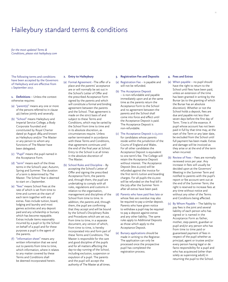# Haileybury standard terms & conditions

*for the most updated Terms & Conditions, please visit haileybury.com*

The following terms and conditions have been accepted by the Governors of Haileybury and are effective from 1 September 2017.

**1. Definitions** – Unless the context otherwise requires:

- (a) "parent(s)" means any one or more of the persons referred to in clause 4(c) below jointly and severally.
- (b) "School" means Haileybury and Imperial Service College, a Body Corporate founded and constituted by Royal Charter dated 30 August 1864 and known as Haileybury and/or The Master or any person to whom any functions of The Master have been delegated.
- (c) "Pupil" means the pupil named in the Acceptance Form.
- (d) "term" means each of the three terms in the School's year; Autumn, Spring and Summer. The duration of a term is determined by The Master. The School Year is deemed to start on 1 September.
- (e) "fees" means School Fees at the rate of which is set from time to time and current at the start of each term together with any extras. Fees include tuition, board, lodging and laundry and most games activities and any deposit paid and any scholarship or bursary which has become repayable. Extras include items reasonably incurred by a pupil or by the School on behalf of a pupil and for these purposes a pupil is the agent of the parents.
- (f) "information sheet" means any written information that we send out to parents from time to time, which information, where it relates to any matter covered by these Terms and Conditions shall be deemed incorporated herein.

#### **2. Entry to Haileybury**

- (a) Formal Agreement –The offer of a place and the parents' acceptance are or will normally be set out in the School's Letter of Offer and the prescribed Acceptance Form signed by the parents and which will constitute a formal and binding agreement between the parents and the School. That agreement is made on the strict basis of and subject to these Terms and Conditions, which may be varied by the School from time to time and in its absolute discretion, as circumstances require. Unless earlier terminated in accordance with these Terms and Conditions, that agreement continues until the end of the final year at School. Entry to the School is at all times in the absolute discretion of The Master.
- (b) School Rules and Discipline By accepting the School's Letter of Offer and signing the prescribed Acceptance Form, the parents and, through them, the pupil are undertaking to comply with all rules, regulations and customs in relation to the organisation, management and disciplines of the School from time to time. In addition, the parents and, through them, the pupil are confirming that they accept and will be bound by the School's Disciplinary Rules and Procedures which are set out, from time to time, in a separate document, any version of which, from time to time, is hereby incorporated into and form part of these Terms and Conditions. The Master is responsible for the care and good discipline of the pupils and for all matters affecting the day-to-day running of the School, including exclusion, suspension or expulsion of a pupil. The parents and the pupil will accept the authority of The Master at all times.

#### **3. Registration Fee and Deposits**

- (a) Registration Fee is payable and will not be refunded.
- (b) The Acceptance Deposit – is non-refundable and payable immediately upon and at the same time as the parents return the Acceptance Form to the School and no agreement between the parents and the School shall come into force and effect until the Acceptance Deposit is paid. The Acceptance Deposit is non-refundable.
- (c) The Acceptance Deposit is £3,000 for candidates whose parents reside within the jurisdiction of the Courts of England and Wales. For all other candidates the Acceptance Deposit is equivalent to one term's fee. The College will retain the Acceptance Deposit without interest. The Acceptance Deposit (less £1,000) will be refunded against the invoice for the first term's tuition and boarding charges. For all pupils the £1,000 will be refunded on the final bill in the July after the Summer Term after all extras have been paid.
- (d) Parents who have paid fees late or whose fees are overdue may also be required to pay a similar deposit. Parents who have given notice to withdraw a pupil may be required to pay a deposit against extras and any other liability. The same rules apply to Additional Deposits as those which apply to the Acceptance Deposit.
- (e) Bursary applications should be made in writing to the Registrar. The application can only be processed once the prospective pupil has completed the registration process.

#### **4. Fees and Extras**

- (a) When payable no pupil should have the right to return to the School until fees have been paid, unless an extension of the time has been granted in writing by the Bursar (as to the granting of which the Bursar has an absolute discretion). Whether or not the School holds a deposit, fees are due and payable not less than seven days before the first day of Term. Time is of the essence. A pupil whose account has not been paid in full by that time may, at the start of the Term or any later date, be excluded from the School until full payment has been made. Extras and damage will be invoiced as they arise or at the end of the term when incurred.
- (b) Review of Fees Fees are normally reviewed once per year. Any increase in fees will usually be decided upon at the Governors' Meeting in the Summer Term and notified to parents with the pupil's report or fee account sent out at the end of the Summer Term; the right is reserved to increase fees at any time without notice and without any other of the Terms and Conditions being affected.
- (c) By Whom Payable The liability to pay fees is the joint and several liability of each person who has signed or is named in the Acceptance Form as father, mother, step-parent, guardian or pupil and/or any person who has from time to time paid or guaranteed payment of fees in respect of the pupil whether as principal, agent or trustee and/or every person having legal or de facto responsibility for a pupil and who has acquiesced (other than solely as supervising adult) in returning the pupil to the School.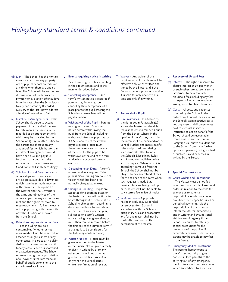# *Haileybury standard terms & conditions continued*

- (d) Lien The School has the right to exercise a lien over any property of the pupil at school premises at any time when there are unpaid fees. The School will be entitled to dispose of or sell such property privately or by auction after 21 days from the date when the School posts to any one parent by Recorded Delivery at the last known address a Notice of Intention to Sell.
- (e) Instalment Arrangements If the School should agree to accept payment of part or all of the fees by instalments the same shall be regarded as an arrangement only which may be cancelled by the School on 15 days written notice to the parent and thereupon any amount of fees which (but for the instalment arrangement) would have been due and payable forthwith as a debt and the remainder of these Terms and Conditions shall apply accordingly.
- (f) Scholarships and Bursaries Any scholarships and bursaries and any ex gratia awards or allowances which have been made may be withdrawn if in the opinion of the Master and the Governors the aims and objectives of the scholarship or bursary are not being met and the right is reserved to require payment in full in the event of the pupil being withdrawn with or without notice or removed from the School.
- (g) Refund and Appropriation of Fees
	- Fees including pre-paid consumables (whether or not consumed) will not be remitted for absence through sickness or any other cause. In particular, no claim shall arise for remission of fees if for any reason a term is shortened or a vacation extended. The School reserves the right of appropriation of all payments that are made on behalf of pupils belonging to the same immediate family.
- **5. Events requiring notice in writing** Parents must give notice in writing in the circumstances and in the manner described below.
- (a) Cancelling Acceptance One term's written notice is required if parents are, for any reason, cancelling their acceptance of a place prior to the pupil entering the School or a term's fees will be payable in lieu.
- (b) Withdrawal of the Pupil Parents must give one term's written notice before withdrawing the pupil from the School (including withdrawal after the pupil has sat IGCSEs) or a term's fees will be payable in lieu. Notice must therefore be received at the start of the term for the pupil to be withdrawn at the end of the term. Notice is not accepted pro-rata over terms.
- (c) Discontinuing an Extra A term's written notice is required if the pupil is discontinuing any course of tuition which has been or is normally charged as an extra.
- (d) Change in Boarding Pupils are accepted for a boarding place on the basis that they will continue to board throughout their time at the School. A change from boarding to day status will only be considered at the start of an academic year, subject to one term's written notice having been given. (Notice must therefore be received before the first day of the Summer Term if a change is to be considered for the following academic year.)
- (e) Written Notice Notice must be given in writing to the Master or the Bursar. Notice given verbally or given in writing by or to any other person will not count as good notice. Notice takes effect only when the School sends written confirmation of receipt.

(f) Waiver – Any waiver of the requirements of this clause will be effective only when written and signed by the Bursar and if the Bursar accepts a provisional notice it is valid for only one term at a time and only if in writing.

#### **6. Removal of a Pupil**

- (a) Circumstances In addition to the rights set in Paragraph 4(a) above, the Master has the right to request parents to remove a pupil from the School where, in the opinion of the Master, such is in the interest of the pupil and/or the School. Further and more specific rules and procedures relating to such removal will be found in the School's Disciplinary Rules and Procedures available online and on request. Where a pupil is accordingly removed from the School, the School shall not be obliged to pay any refund of fees for the balance of the Term when such request is made but, provided fees are being paid up to date, parents will not be liable to pay a term's fee in lieu of notice.
- (b) Re-Admission A pupil who has been excluded, suspended or removed from School in accordance with the School's disciplinary rules and procedures and for any reason shall not be readmitted without written permission of the Master.

#### **7. Recovery of Unpaid Fees**

- (a) Interest The right is reserved to charge interest at 2% per month or such other rate as seems to the Governors to be reasonable on unpaid fees including any fees in respect of which an instalment arrangement has been terminated.
- (b) Costs All costs and expenses incurred by the School in the collection of unpaid fees, including the School's administrative costs and any costs and disbursements paid to external solicitors instructed to act on behalf of the School should be recoverable from those persons set out in Paragraph 4(c) above as a debt due to the School from them forthwith upon such person(s) being notified of such costs and expenses in writing by the Bursar.

## **8. Special Circumstances**

- (a) Court Orders and Precautions – The Master must be notified in writing immediately of any court orders in relation to the child for example as to parental responsibility, residence, contact, prohibited steps, specific issues or periodical payments. It is the responsibility of the parent to inform the Master immediately and in writing and by a personal visit in case of urgency if the School is required to take any special precautions for the protection of the pupil or if circumstances arise such that any parent may be unable to pay fees in the future.
- (b) Emergency Medical Treatment The parents hereby grant to the Master authority to give consent in loco parentis to the carrying out of any emergency medical treatments or procedures which are certified by a medical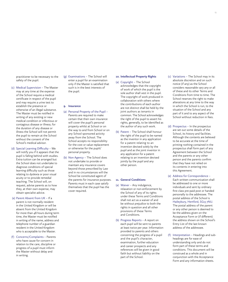practitioner to be necessary to the safety of the pupil.

- (c) Medical Supervision The Master may at any time at the expense of the School require a medical certificate in respect of the pupil and may require a urine test to establish the presence or otherwise of an illegal substance. The Master must be notified in writing of any existing or new medical condition or infectious or contagious disease or illness; for the duration of any disease or illness the School will not permit the pupil to remain at the School without the consent of the School's medical advisor.
- (d) Special Learning Difficulty We will notify you if it appears that the pupil is falling behind with studies. Extra tuition can be arranged but the School does not undertake to diagnose conditions of special learning difficulty such as those relating to dyslexia or poor visual acuity or to provide remedial teaching. The School will, on request, advise parents as to how they, at their own expense, may obtain specialist advice.
- (e) Parent Absent from UK If a parent is not normally resident in the United Kingdom or will be absent from the United Kingdom for more than 48 hours during term time, the Master must be notified in writing of the name, address and telephone number of a guardian resident in the United Kingdom who is acceptable to the Master.
- (f) Concerns/Complaints Parents who have cause for concern in relation to the care, discipline or progress of a pupil must inform the Master without delay and in writing.

(g) Examinations – The School will enter a pupil for an examination only if the Master is satisfied that such is in the best interests of the pupil.

**9. Insurance**

- (a) Personal Property of the Pupil Parents are required to make certain that their own insurance will cover the pupil's personal property whilst at School or on the way to and from School or on any School sponsored activity away from the School. The School accepts no responsibility for the cost or value replacement or otherwise for the pupils' personal property.
- (b) Non Agency The School does not undertake to provide or maintain any insurance covers beyond those prescribed by Law and in no circumstances will the School be constituted agent of the parents for insurance purposes. Parents must in each case satisfy themselves that the pupil has the cover required.

# **10. Intellectual Property Rights**

- (a) Copyright The School acknowledges that the copyright of work of which the pupil is the sole author shall vest in the pupil. The copyright of work produced in collaboration with others where the contributions of each author are not distinct shall be held by the joint authors as tenants in common. The School acknowledges the right of the pupil to assert his rights, generally, to be identified as the author of any such work.
- (b) Patent The School shall honour the right of the pupil to be named as the inventor in any application for a patent relating to an invention devised solely by the pupil and as the joint inventor in any application for a patent relating to an invention devised jointly by the pupil and any other person.

#### **11. General Conditions**

- (a) Waiver Any indulgence, relaxation or non-enforcement by the School of any of its rights under these Terms and Conditions shall not act as a waiver of and be without prejudice to both the rights in question and all other provisions of these Terms and Conditions.
- (b) Progress Reports A report on each pupil will be sent to parents at least twice per year. Information provided to parents and others concerning the progress of a pupil and the pupil's character, examination, further education and career prospects and any references will be given in good faith but without liability on the part of the School.
- (c) Variations The School may in its absolute discretion and on such notice (if any) as the School considers reasonable vary any or all of these and its other Terms and Conditions from time to time. The School reserves the right to make alterations at any time to the way in which the School is run, to the situation of the School and any part of it and to any aspect of the School without reduction in fees.
- (d) Prospectus In the prospectus are set out some details of the School, its history and facilities. Although the contents are believed to be accurate at the time of printing nothing contained in the prospectus shall form part of any Agreement between the School and the parents or any other person and the parents confirm that they have not relied on its contents in entering into this Agreement.
- (e) Address for Correspondence Each written communication shall be addressed to one or more individuals and sent by ordinary first class pre-paid post or handed personally to the addressee. The postal address of the School is Haileybury, Hertford, SG13 7NU. The postal address of the parent or any other person is deemed to be the address given on the Acceptance Form or (if different) the address shown on the School's Entry List of the last known address of the addressee.
- (f) Interpretation Headings and subheadings are for ease of understanding only and do not form part of these terms and conditions. This document will be construed as a whole and in conjunction with the Acceptance Form and any information sheets.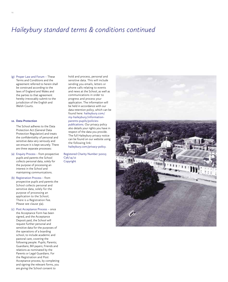# *Haileybury standard terms & conditions continued*

(g) Proper Law and Forum – These Terms and Conditions and the agreement referred to herein shall be construed according to the laws of England and Wales and the parties to that agreement hereby irrevocably submit to the jurisdiction of the English and Welsh Courts.

# **12. Data Protection**

The School adheres to the Data Protection Act (General Data Protection Regulation) and treats the confidentiality of personal and sensitive data very seriously and we ensure it is kept securely. There are three separate processes:

- (a) Enquiry Process from prospective pupils and parents the School collects personal data, solely for the purpose of processing an interest in the School and maintaining communications.
- (b) Registration Process from prospective pupils and parents the School collects personal and sensitive data, solely for the purpose of processing an application to the School; There is a Registration Fee. Please see clause 3(a).
- (c) Post Acceptance Process once the Acceptance Form has been signed, and the Acceptance Deposit paid, the School will request further personal and sensitive data for the purposes of the operations of a boarding school, to include academic and pastoral care, covering the following people: Pupils; Parents; Guardians; Bill payers; Friends and relations as nominated by the Parents or Legal Guardians. For the Registration and Post Acceptance process, by completing and signing the relevant forms, you are giving the School consent to

sensitive data. This will include sending you emails, letters or phone calls relating to events and news at the School, as well as communications in order to progress and process your application. The information will be held in accordance with our data retention policy, which can be found here: haileybury.com/ [my-haileybury/information](https://www.haileybury.com/policies-publications/)parents-pupils/policiespublications. Our privacy policy also details your rights you have in respect of the data you provide. The full Haileybury privacy notice can be found on our website using the following link: haileybury.com/privacy-policy.

hold and process, personal and

Registered Charity Number 310013  $C_36/14/12$ Copyright

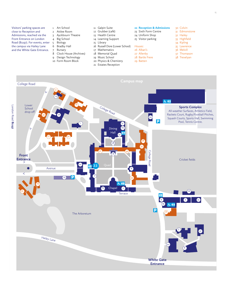Visitors' parking spaces are close to Reception and Admissions, reached via the Front Entrance on London Road (B1197). For events, enter the campus via Hailey Lane and the White Gate Entrance.

- 1 Art School
- 2 Attlee Room
- 3 Ayckbourn Theatre
- 4 Big School
- 
- 5 Biology<br>6 Bradby Bradby Hall
- 7 Bursary
- 8 Clock House (Archives)
- 9 Design Technology
- 10 Form Room Block
- 11 Galpin Suite
- 12 Grubber (café)
- 13 Health Centre
- 14 Learning Support
- 15 Library
- 16 Russell Dore (Lower School)
- 17 Mathematics
- 18 Memorial Quad 19 Music School
- 
- 20 Physics & Chemistry 21 Estates Reception

**22 Reception & Admissions** 23 Sixth Form Centre

**Entrance**

24 Uniform Shop 25 Visitor parking

*Houses:* 26 Alban's 27 Allenby 28 Bartle Frere 29 Batten

- 31 Edmonstone
	- 32 Hailey

30 Colvin

- 33 Highfield
- 34 Kipling
- 35 Lawrence
- 36 Melvill
- 37 Thomason 38 Trevelyan
- 
- College Road 32  $\mathcal V$  13 占轴 25 Lower College Road London Road B1197 London Road**Sports Complex** School All-weather Surfaces, Athletics Field, drop-offRackets Court, Rugby/Football Pitches, 16 26 24 Squash Courts, Sports Hall, Swimming Pool, Tennis Centre. 1 .<br>23 Dining  $\mathcal V$ Hall 12  $27 - 1 - 30$ 28 18 .<br>33  $\overline{\phantom{a}37}$   $\overline{\phantom{a}36}$ College Roac College Road 8 **Front**  Cricket fields **Entrance** > **22** 10 Quad Avenue 4  $\,<$  7 25 .<br>34 气削 29 15 Chapel 2 .<br>35 .<br>14 **Terrace** 6 3  $\mathcal{L}_{1}$ 19  $\overline{\mathsf{P}}$ 31 The Arboretum 5 17 Hailey Lane  $20$ 9 **White Gate**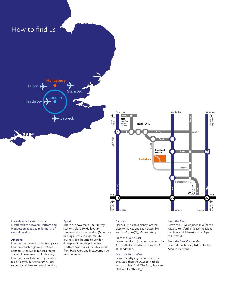

Haileybury is located in rural Hertfordshire between Hertford and Hoddesdon about 20 miles north of central London.

# **Air travel**

London Heathrow (50 minutes by car), London Stansted (30 minutes) and London Luton (40 minutes) airports are within easy reach of Haileybury. London Gatwick Airport (75 minutes) is only slightly further away. All are served by rail links to central London.

# **By rail**

There are two main line railway stations close to Haileybury. Hertford North to London (Moorgate or Kings Cross) is a 40-minute journey. Broxbourne to London (Liverpool Street) is 35 minutes. Hertford North is a 5-minute car ride from Haileybury and Broxbourne is 10 minutes away.

#### **By road**

Haileybury is conveniently located close to the A10 and easily accessible via the M25, A1(M), M11 and A414.

# From the South East

Leave the M25 at junction 25 to join the A10 north (Cambridge), exiting the A10 at Hoddesdon.

# From the South West

Leave the M25 at junction 21a to join the A405, then the A414 to Hatfield and on to Hertford. The B1197 leads to Hertford Heath village.

#### From the North

Leave the  $Ai(M)$  at junction 4 for the A414 to Hertford, or leave the M1 at junction 7 (St Albans) for the A414 to Hertford.

From the East Via the M11 Leave at junction 7 (Harlow) for the A414 to Hertford.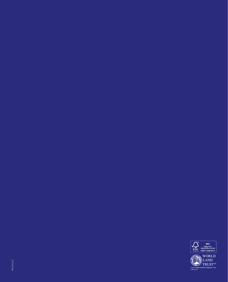

[www.carbonbalancedpaper.com](http://www.carbonbalancedpaper.com) CBP012543